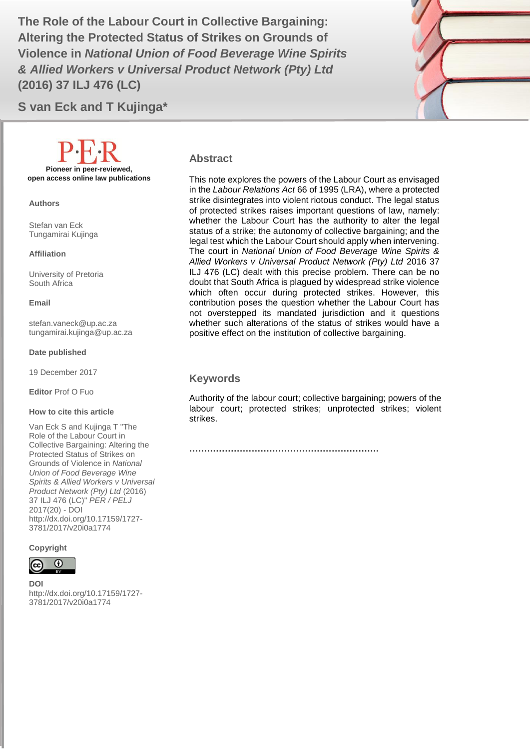Altering the Protected Status of Strikes on Grounds of **Altering the Protected Status of Strikes** on Grounds of **The Role of the Labour Court in Collective Bargaining: Violence in** *National Union of Food Beverage Wine Spirits & Allied Workers v Universal Product Network (Pty) Ltd* **(2016) 37 ILJ 476 (LC)**



**S van Eck and T Kujinga\***

# **Pioneer in peer-reviewed, open access online law publications**

**Authors**

Stefan van Eck Tungamirai Kujinga

#### **Affiliation**

University of Pretoria South Africa

#### **Email**

stefan.vaneck@up.ac.za tungamirai.kujinga@up.ac.za

#### **Date published**

19 December 2017

**Editor** Prof O Fuo

#### **How to cite this article**

Van Eck S and Kujinga T "The Role of the Labour Court in Collective Bargaining: Altering the Protected Status of Strikes on Grounds of Violence in *National Union of Food Beverage Wine Spirits & Allied Workers v Universal Product Network (Pty) Ltd* (2016) 37 ILJ 476 (LC)" *PER / PELJ* 2017(20) - DOI http://dx.doi.org/10.17159/1727- 3781/2017/v20i0a1774

**Copyright**



**DOI**  http://dx.doi.org/10.17159/1727- 3781/2017/v20i0a1774

#### **Abstract**

This note explores the powers of the Labour Court as envisaged in the *Labour Relations Act* 66 of 1995 (LRA), where a protected strike disintegrates into violent riotous conduct. The legal status of protected strikes raises important questions of law, namely: whether the Labour Court has the authority to alter the legal status of a strike; the autonomy of collective bargaining; and the legal test which the Labour Court should apply when intervening. The court in *National Union of Food Beverage Wine Spirits & Allied Workers v Universal Product Network (Pty) Ltd* 2016 37 ILJ 476 (LC) dealt with this precise problem. There can be no doubt that South Africa is plagued by widespread strike violence which often occur during protected strikes. However, this contribution poses the question whether the Labour Court has not overstepped its mandated jurisdiction and it questions whether such alterations of the status of strikes would have a positive effect on the institution of collective bargaining.

#### **Keywords**

Authority of the labour court; collective bargaining; powers of the labour court; protected strikes; unprotected strikes; violent strikes.

**……………………………………………………….**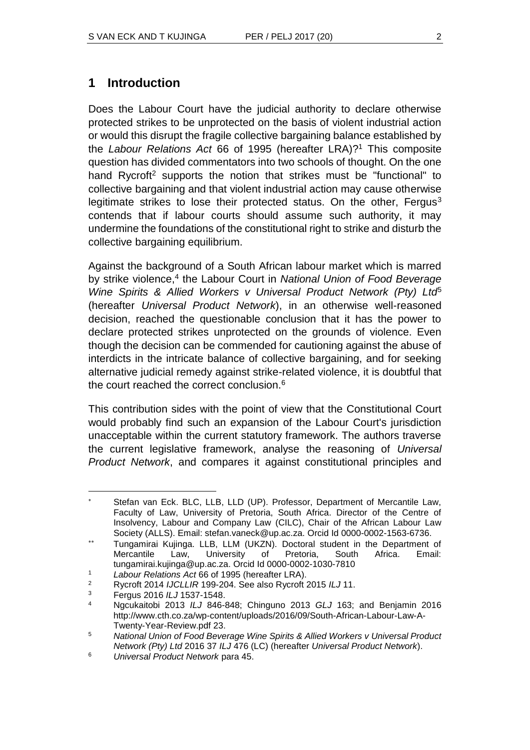### **1 Introduction**

Does the Labour Court have the judicial authority to declare otherwise protected strikes to be unprotected on the basis of violent industrial action or would this disrupt the fragile collective bargaining balance established by the *Labour Relations Act* 66 of 1995 (hereafter LRA)? <sup>1</sup> This composite question has divided commentators into two schools of thought. On the one hand Rycroft<sup>2</sup> supports the notion that strikes must be "functional" to collective bargaining and that violent industrial action may cause otherwise legitimate strikes to lose their protected status. On the other, Fergus<sup>3</sup> contends that if labour courts should assume such authority, it may undermine the foundations of the constitutional right to strike and disturb the collective bargaining equilibrium.

Against the background of a South African labour market which is marred by strike violence,<sup>4</sup> the Labour Court in *National Union of Food Beverage Wine Spirits & Allied Workers v Universal Product Network (Pty) Ltd*<sup>5</sup> (hereafter *Universal Product Network*), in an otherwise well-reasoned decision, reached the questionable conclusion that it has the power to declare protected strikes unprotected on the grounds of violence. Even though the decision can be commended for cautioning against the abuse of interdicts in the intricate balance of collective bargaining, and for seeking alternative judicial remedy against strike-related violence, it is doubtful that the court reached the correct conclusion.<sup>6</sup>

This contribution sides with the point of view that the Constitutional Court would probably find such an expansion of the Labour Court's jurisdiction unacceptable within the current statutory framework. The authors traverse the current legislative framework, analyse the reasoning of *Universal Product Network*, and compares it against constitutional principles and

Stefan van Eck. BLC, LLB, LLD (UP). Professor, Department of Mercantile Law, Faculty of Law, University of Pretoria, South Africa. Director of the Centre of Insolvency, Labour and Company Law (CILC), Chair of the African Labour Law Society (ALLS). Email: stefan.vaneck@up.ac.za. Orcid Id 0000-0002-1563-6736.

Tungamirai Kujinga. LLB, LLM (UKZN). Doctoral student in the Department of Mercantile Law, University of Pretoria, South Africa. Email: tungamirai.kujinga@up.ac.za. Orcid Id 0000-0002-1030-7810

<sup>1</sup> *Labour Relations Act* 66 of 1995 (hereafter LRA).

<sup>2</sup> Rycroft 2014 *IJCLLIR* 199-204. See also Rycroft 2015 *ILJ* 11.

<sup>3</sup> Fergus 2016 *ILJ* 1537-1548.

<sup>4</sup> Ngcukaitobi 2013 *ILJ* 846-848; Chinguno 2013 *GLJ* 163; and Benjamin 2016 http://www.cth.co.za/wp-content/uploads/2016/09/South-African-Labour-Law-A-Twenty-Year-Review.pdf 23.

<sup>5</sup> *National Union of Food Beverage Wine Spirits & Allied Workers v Universal Product Network (Pty) Ltd* 2016 37 *ILJ* 476 (LC) (hereafter *Universal Product Network*).

<sup>6</sup> *Universal Product Network* para 45.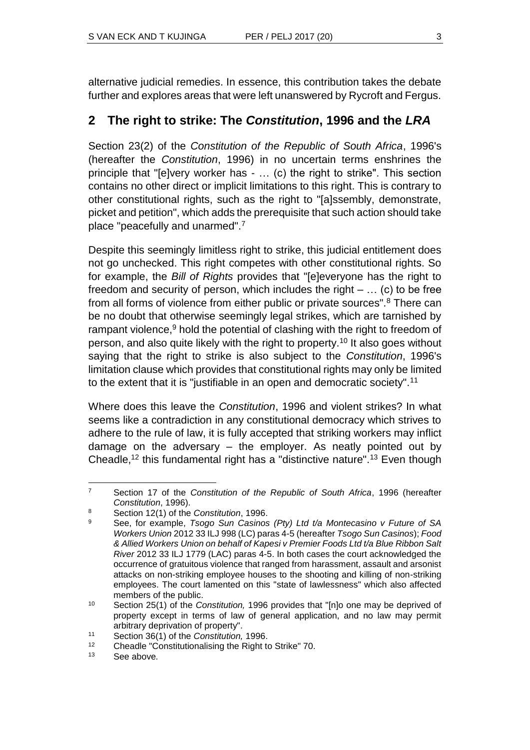alternative judicial remedies. In essence, this contribution takes the debate further and explores areas that were left unanswered by Rycroft and Fergus.

### **2 The right to strike: The** *Constitution***, 1996 and the** *LRA*

Section 23(2) of the *Constitution of the Republic of South Africa*, 1996's (hereafter the *Constitution*, 1996) in no uncertain terms enshrines the principle that "[e]very worker has - … (c) the right to strike". This section contains no other direct or implicit limitations to this right. This is contrary to other constitutional rights, such as the right to "[a]ssembly, demonstrate, picket and petition", which adds the prerequisite that such action should take place "peacefully and unarmed".<sup>7</sup>

Despite this seemingly limitless right to strike, this judicial entitlement does not go unchecked. This right competes with other constitutional rights. So for example, the *Bill of Rights* provides that "[e]everyone has the right to freedom and security of person, which includes the right – … (c) to be free from all forms of violence from either public or private sources".<sup>8</sup> There can be no doubt that otherwise seemingly legal strikes, which are tarnished by rampant violence, $9$  hold the potential of clashing with the right to freedom of person, and also quite likely with the right to property.<sup>10</sup> It also goes without saying that the right to strike is also subject to the *Constitution*, 1996's limitation clause which provides that constitutional rights may only be limited to the extent that it is "justifiable in an open and democratic society".<sup>11</sup>

Where does this leave the *Constitution*, 1996 and violent strikes? In what seems like a contradiction in any constitutional democracy which strives to adhere to the rule of law, it is fully accepted that striking workers may inflict damage on the adversary – the employer. As neatly pointed out by Cheadle,<sup>12</sup> this fundamental right has a "distinctive nature".<sup>13</sup> Even though

l <sup>7</sup> Section 17 of the *Constitution of the Republic of South Africa*, 1996 (hereafter *Constitution*, 1996).

<sup>8</sup> Section 12(1) of the *Constitution*, 1996.

<sup>9</sup> See, for example, *Tsogo Sun Casinos (Pty) Ltd t/a Montecasino v Future of SA Workers Union* 2012 33 ILJ 998 (LC) paras 4-5 (hereafter *Tsogo Sun Casinos*); *Food & Allied Workers Union on behalf of Kapesi v Premier Foods Ltd t/a Blue Ribbon Salt River* 2012 33 ILJ 1779 (LAC) paras 4-5. In both cases the court acknowledged the occurrence of gratuitous violence that ranged from harassment, assault and arsonist attacks on non-striking employee houses to the shooting and killing of non-striking employees. The court lamented on this "state of lawlessness" which also affected members of the public.

<sup>10</sup> Section 25(1) of the *Constitution,* 1996 provides that "[n]o one may be deprived of property except in terms of law of general application, and no law may permit arbitrary deprivation of property".

<sup>11</sup> Section 36(1) of the *Constitution,* 1996.

<sup>12</sup> Cheadle "Constitutionalising the Right to Strike" 70.

<sup>13</sup> See above*.*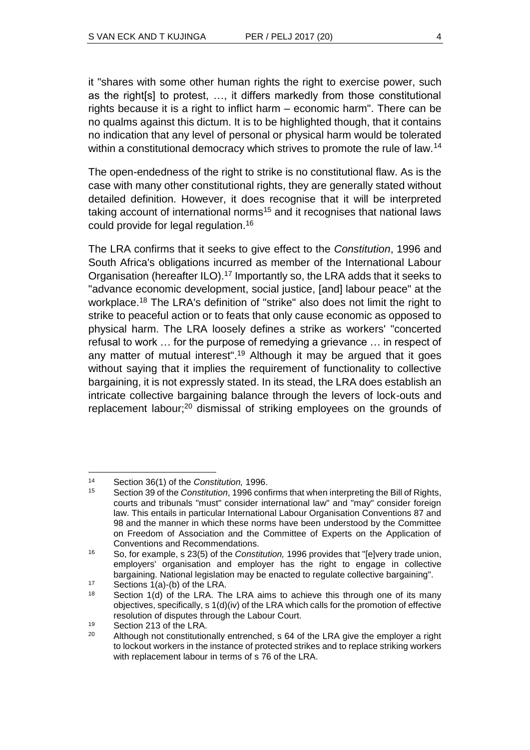it "shares with some other human rights the right to exercise power, such as the right[s] to protest, …, it differs markedly from those constitutional rights because it is a right to inflict harm – economic harm". There can be no qualms against this dictum. It is to be highlighted though, that it contains no indication that any level of personal or physical harm would be tolerated within a constitutional democracy which strives to promote the rule of law.<sup>14</sup>

The open-endedness of the right to strike is no constitutional flaw. As is the case with many other constitutional rights, they are generally stated without detailed definition. However, it does recognise that it will be interpreted taking account of international norms<sup>15</sup> and it recognises that national laws could provide for legal regulation.<sup>16</sup>

The LRA confirms that it seeks to give effect to the *Constitution*, 1996 and South Africa's obligations incurred as member of the International Labour Organisation (hereafter ILO).<sup>17</sup> Importantly so, the LRA adds that it seeks to "advance economic development, social justice, [and] labour peace" at the workplace.<sup>18</sup> The LRA's definition of "strike" also does not limit the right to strike to peaceful action or to feats that only cause economic as opposed to physical harm. The LRA loosely defines a strike as workers' "concerted refusal to work … for the purpose of remedying a grievance … in respect of any matter of mutual interest".<sup>19</sup> Although it may be argued that it goes without saying that it implies the requirement of functionality to collective bargaining, it is not expressly stated. In its stead, the LRA does establish an intricate collective bargaining balance through the levers of lock-outs and replacement labour;<sup>20</sup> dismissal of striking employees on the grounds of

l <sup>14</sup> Section 36(1) of the *Constitution,* 1996.

<sup>15</sup> Section 39 of the *Constitution*, 1996 confirms that when interpreting the Bill of Rights, courts and tribunals "must" consider international law" and "may" consider foreign law. This entails in particular International Labour Organisation Conventions 87 and 98 and the manner in which these norms have been understood by the Committee on Freedom of Association and the Committee of Experts on the Application of Conventions and Recommendations.

<sup>16</sup> So, for example, s 23(5) of the *Constitution,* 1996 provides that "[e]very trade union, employers' organisation and employer has the right to engage in collective bargaining. National legislation may be enacted to regulate collective bargaining".

 $17$  Sections  $1(a)$ -(b) of the LRA.

<sup>&</sup>lt;sup>18</sup> Section 1(d) of the LRA. The LRA aims to achieve this through one of its many objectives, specifically, s 1(d)(iv) of the LRA which calls for the promotion of effective resolution of disputes through the Labour Court.

<sup>19</sup> Section 213 of the LRA.

<sup>&</sup>lt;sup>20</sup> Although not constitutionally entrenched,  $s$  64 of the LRA give the employer a right to lockout workers in the instance of protected strikes and to replace striking workers with replacement labour in terms of s 76 of the LRA.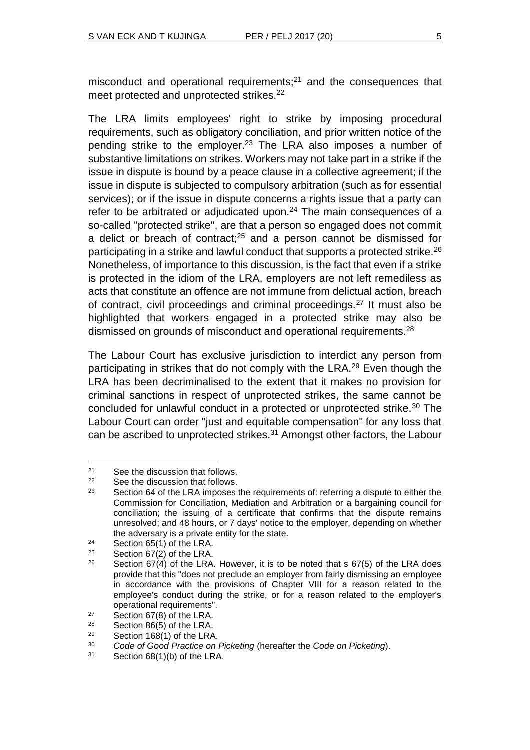misconduct and operational requirements; $21$  and the consequences that meet protected and unprotected strikes.<sup>22</sup>

The LRA limits employees' right to strike by imposing procedural requirements, such as obligatory conciliation, and prior written notice of the pending strike to the employer.<sup>23</sup> The LRA also imposes a number of substantive limitations on strikes. Workers may not take part in a strike if the issue in dispute is bound by a peace clause in a collective agreement; if the issue in dispute is subjected to compulsory arbitration (such as for essential services); or if the issue in dispute concerns a rights issue that a party can refer to be arbitrated or adjudicated upon.<sup>24</sup> The main consequences of a so-called "protected strike", are that a person so engaged does not commit a delict or breach of contract;<sup>25</sup> and a person cannot be dismissed for participating in a strike and lawful conduct that supports a protected strike.<sup>26</sup> Nonetheless, of importance to this discussion, is the fact that even if a strike is protected in the idiom of the LRA, employers are not left remediless as acts that constitute an offence are not immune from delictual action, breach of contract, civil proceedings and criminal proceedings.<sup>27</sup> It must also be highlighted that workers engaged in a protected strike may also be dismissed on grounds of misconduct and operational requirements.<sup>28</sup>

The Labour Court has exclusive jurisdiction to interdict any person from participating in strikes that do not comply with the LRA.<sup>29</sup> Even though the LRA has been decriminalised to the extent that it makes no provision for criminal sanctions in respect of unprotected strikes, the same cannot be concluded for unlawful conduct in a protected or unprotected strike.<sup>30</sup> The Labour Court can order "just and equitable compensation" for any loss that can be ascribed to unprotected strikes.<sup>31</sup> Amongst other factors, the Labour

<sup>&</sup>lt;sup>21</sup> See the discussion that follows.<br><sup>22</sup> See the discussion that follows.

<sup>&</sup>lt;sup>22</sup> See the discussion that follows.<br><sup>23</sup> Section 64 of the LBA imposes

Section 64 of the LRA imposes the requirements of: referring a dispute to either the Commission for Conciliation, Mediation and Arbitration or a bargaining council for conciliation; the issuing of a certificate that confirms that the dispute remains unresolved; and 48 hours, or 7 days' notice to the employer, depending on whether the adversary is a private entity for the state.

<sup>&</sup>lt;sup>24</sup> Section 65(1) of the LRA.<br><sup>25</sup> Section 67(2) of the LBA

Section 67(2) of the LRA.

<sup>&</sup>lt;sup>26</sup> Section 67(4) of the LRA. However, it is to be noted that s 67(5) of the LRA does provide that this "does not preclude an employer from fairly dismissing an employee in accordance with the provisions of Chapter VIII for a reason related to the employee's conduct during the strike, or for a reason related to the employer's operational requirements".

<sup>27</sup> Section 67(8) of the LRA.

 $28$  Section 86(5) of the LRA.

<sup>29</sup> Section 168(1) of the LRA.

<sup>30</sup> *Code of Good Practice on Picketing* (hereafter the *Code on Picketing*).

 $31$  Section 68(1)(b) of the LRA.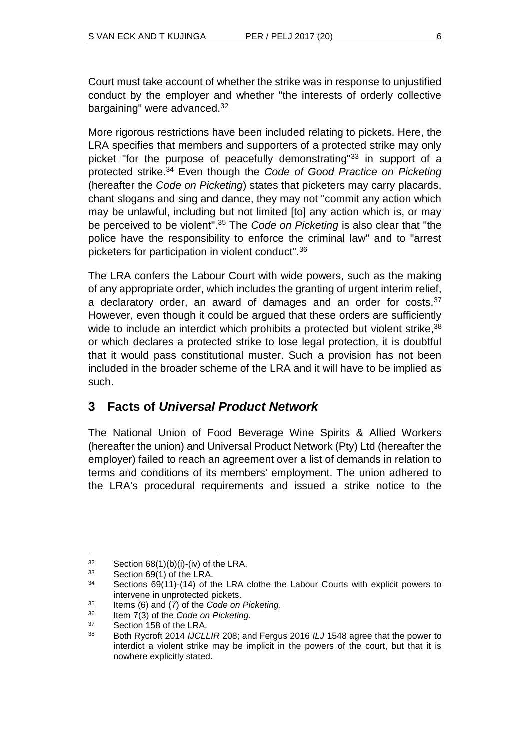Court must take account of whether the strike was in response to unjustified conduct by the employer and whether "the interests of orderly collective bargaining" were advanced.<sup>32</sup>

More rigorous restrictions have been included relating to pickets. Here, the LRA specifies that members and supporters of a protected strike may only picket "for the purpose of peacefully demonstrating"<sup>33</sup> in support of a protected strike.<sup>34</sup> Even though the *Code of Good Practice on Picketing* (hereafter the *Code on Picketing*) states that picketers may carry placards, chant slogans and sing and dance, they may not "commit any action which may be unlawful, including but not limited [to] any action which is, or may be perceived to be violent".<sup>35</sup> The *Code on Picketing* is also clear that "the police have the responsibility to enforce the criminal law" and to "arrest picketers for participation in violent conduct".<sup>36</sup>

The LRA confers the Labour Court with wide powers, such as the making of any appropriate order, which includes the granting of urgent interim relief, a declaratory order, an award of damages and an order for costs.<sup>37</sup> However, even though it could be argued that these orders are sufficiently wide to include an interdict which prohibits a protected but violent strike,<sup>38</sup> or which declares a protected strike to lose legal protection, it is doubtful that it would pass constitutional muster. Such a provision has not been included in the broader scheme of the LRA and it will have to be implied as such.

### **3 Facts of** *Universal Product Network*

The National Union of Food Beverage Wine Spirits & Allied Workers (hereafter the union) and Universal Product Network (Pty) Ltd (hereafter the employer) failed to reach an agreement over a list of demands in relation to terms and conditions of its members' employment. The union adhered to the LRA's procedural requirements and issued a strike notice to the

l  $32$  Section 68(1)(b)(i)-(iv) of the LRA.

 $33$  Section 69(1) of the LRA.

Sections 69(11)-(14) of the LRA clothe the Labour Courts with explicit powers to intervene in unprotected pickets.

<sup>35</sup> Items (6) and (7) of the *Code on Picketing*.

<sup>36</sup> Item 7(3) of the *Code on Picketing*.

<sup>37</sup> Section 158 of the LRA.

<sup>38</sup> Both Rycroft 2014 *IJCLLIR* 208; and Fergus 2016 *ILJ* 1548 agree that the power to interdict a violent strike may be implicit in the powers of the court, but that it is nowhere explicitly stated.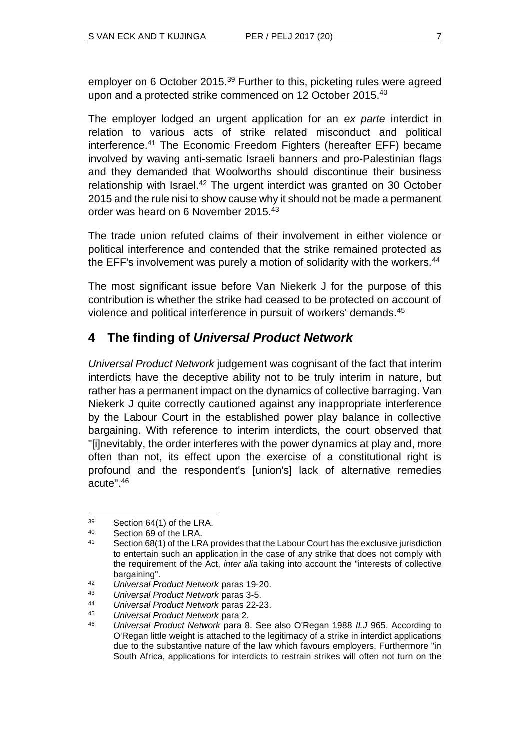employer on 6 October 2015.<sup>39</sup> Further to this, picketing rules were agreed upon and a protected strike commenced on 12 October 2015.<sup>40</sup>

The employer lodged an urgent application for an *ex parte* interdict in relation to various acts of strike related misconduct and political interference.<sup>41</sup> The Economic Freedom Fighters (hereafter EFF) became involved by waving anti-sematic Israeli banners and pro-Palestinian flags and they demanded that Woolworths should discontinue their business relationship with Israel.<sup>42</sup> The urgent interdict was granted on 30 October 2015 and the rule nisi to show cause why it should not be made a permanent order was heard on 6 November 2015.<sup>43</sup>

The trade union refuted claims of their involvement in either violence or political interference and contended that the strike remained protected as the EFF's involvement was purely a motion of solidarity with the workers.<sup>44</sup>

The most significant issue before Van Niekerk J for the purpose of this contribution is whether the strike had ceased to be protected on account of violence and political interference in pursuit of workers' demands.<sup>45</sup>

### **4 The finding of** *Universal Product Network*

*Universal Product Network* judgement was cognisant of the fact that interim interdicts have the deceptive ability not to be truly interim in nature, but rather has a permanent impact on the dynamics of collective barraging. Van Niekerk J quite correctly cautioned against any inappropriate interference by the Labour Court in the established power play balance in collective bargaining. With reference to interim interdicts, the court observed that "[i]nevitably, the order interferes with the power dynamics at play and, more often than not, its effect upon the exercise of a constitutional right is profound and the respondent's [union's] lack of alternative remedies acute".<sup>46</sup>

 $39$  Section 64(1) of the LRA.<br> $40$  Section 69 of the LRA

<sup>40</sup> Section 69 of the LRA.<br>41 Section 69(1) of the LP

Section 68(1) of the LRA provides that the Labour Court has the exclusive jurisdiction to entertain such an application in the case of any strike that does not comply with the requirement of the Act, *inter alia* taking into account the "interests of collective bargaining".

<sup>42</sup> *Universal Product Network* paras 19-20.

<sup>43</sup> *Universal Product Network* paras 3-5.

<sup>44</sup> *Universal Product Network* paras 22-23.

<sup>45</sup> *Universal Product Network* para 2.

<sup>46</sup> *Universal Product Network* para 8. See also O'Regan 1988 *ILJ* 965. According to O'Regan little weight is attached to the legitimacy of a strike in interdict applications due to the substantive nature of the law which favours employers. Furthermore "in South Africa, applications for interdicts to restrain strikes will often not turn on the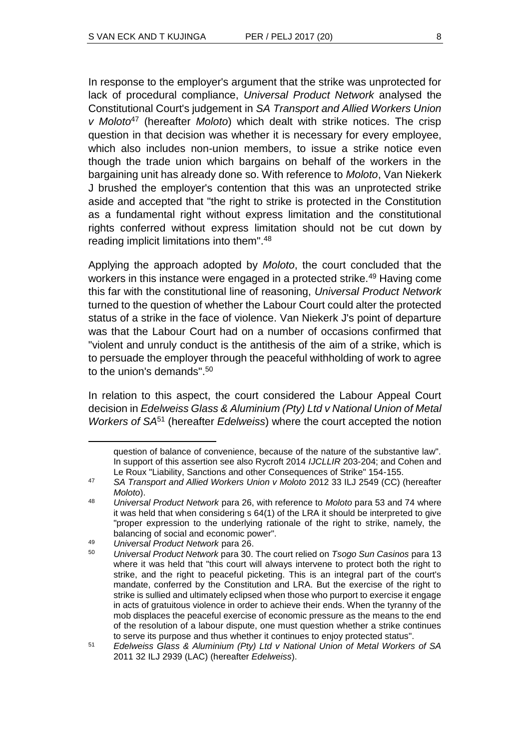In response to the employer's argument that the strike was unprotected for lack of procedural compliance, *Universal Product Network* analysed the Constitutional Court's judgement in *SA Transport and Allied Workers Union v Moloto*<sup>47</sup> (hereafter *Moloto*) which dealt with strike notices. The crisp question in that decision was whether it is necessary for every employee, which also includes non-union members, to issue a strike notice even though the trade union which bargains on behalf of the workers in the bargaining unit has already done so. With reference to *Moloto*, Van Niekerk J brushed the employer's contention that this was an unprotected strike aside and accepted that "the right to strike is protected in the Constitution as a fundamental right without express limitation and the constitutional rights conferred without express limitation should not be cut down by reading implicit limitations into them".<sup>48</sup>

Applying the approach adopted by *Moloto*, the court concluded that the workers in this instance were engaged in a protected strike.<sup>49</sup> Having come this far with the constitutional line of reasoning, *Universal Product Network* turned to the question of whether the Labour Court could alter the protected status of a strike in the face of violence. Van Niekerk J's point of departure was that the Labour Court had on a number of occasions confirmed that "violent and unruly conduct is the antithesis of the aim of a strike, which is to persuade the employer through the peaceful withholding of work to agree to the union's demands".<sup>50</sup>

In relation to this aspect, the court considered the Labour Appeal Court decision in *Edelweiss Glass & Aluminium (Pty) Ltd v National Union of Metal Workers of SA*<sup>51</sup> (hereafter *Edelweiss*) where the court accepted the notion

question of balance of convenience, because of the nature of the substantive law". In support of this assertion see also Rycroft 2014 *IJCLLIR* 203-204; and Cohen and Le Roux "Liability, Sanctions and other Consequences of Strike" 154-155.

<sup>47</sup> *SA Transport and Allied Workers Union v Moloto* 2012 33 ILJ 2549 (CC) (hereafter *Moloto*).

<sup>48</sup> *Universal Product Network* para 26, with reference to *Moloto* para 53 and 74 where it was held that when considering s 64(1) of the LRA it should be interpreted to give "proper expression to the underlying rationale of the right to strike, namely, the balancing of social and economic power".

<sup>49</sup> *Universal Product Network* para 26.

<sup>50</sup> *Universal Product Network* para 30. The court relied on *Tsogo Sun Casinos* para 13 where it was held that "this court will always intervene to protect both the right to strike, and the right to peaceful picketing. This is an integral part of the court's mandate, conferred by the Constitution and LRA. But the exercise of the right to strike is sullied and ultimately eclipsed when those who purport to exercise it engage in acts of gratuitous violence in order to achieve their ends. When the tyranny of the mob displaces the peaceful exercise of economic pressure as the means to the end of the resolution of a labour dispute, one must question whether a strike continues to serve its purpose and thus whether it continues to enjoy protected status".

<sup>51</sup> *Edelweiss Glass & Aluminium (Pty) Ltd v National Union of Metal Workers of SA*  2011 32 ILJ 2939 (LAC) (hereafter *Edelweiss*).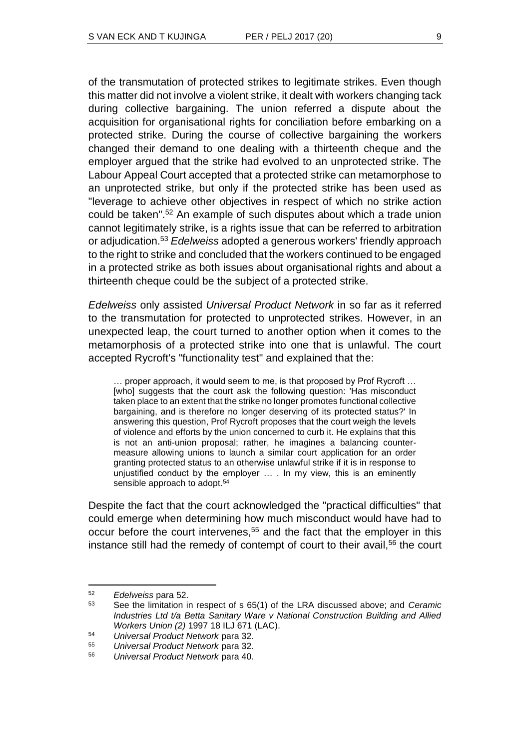of the transmutation of protected strikes to legitimate strikes. Even though this matter did not involve a violent strike, it dealt with workers changing tack during collective bargaining. The union referred a dispute about the acquisition for organisational rights for conciliation before embarking on a protected strike. During the course of collective bargaining the workers changed their demand to one dealing with a thirteenth cheque and the employer argued that the strike had evolved to an unprotected strike. The Labour Appeal Court accepted that a protected strike can metamorphose to an unprotected strike, but only if the protected strike has been used as "leverage to achieve other objectives in respect of which no strike action could be taken".<sup>52</sup> An example of such disputes about which a trade union cannot legitimately strike, is a rights issue that can be referred to arbitration or adjudication.<sup>53</sup> *Edelweiss* adopted a generous workers' friendly approach to the right to strike and concluded that the workers continued to be engaged in a protected strike as both issues about organisational rights and about a thirteenth cheque could be the subject of a protected strike.

*Edelweiss* only assisted *Universal Product Network* in so far as it referred to the transmutation for protected to unprotected strikes. However, in an unexpected leap, the court turned to another option when it comes to the metamorphosis of a protected strike into one that is unlawful. The court accepted Rycroft's "functionality test" and explained that the:

… proper approach, it would seem to me, is that proposed by Prof Rycroft … [who] suggests that the court ask the following question: 'Has misconduct taken place to an extent that the strike no longer promotes functional collective bargaining, and is therefore no longer deserving of its protected status?' In answering this question, Prof Rycroft proposes that the court weigh the levels of violence and efforts by the union concerned to curb it. He explains that this is not an anti-union proposal; rather, he imagines a balancing countermeasure allowing unions to launch a similar court application for an order granting protected status to an otherwise unlawful strike if it is in response to unjustified conduct by the employer … . In my view, this is an eminently sensible approach to adopt.<sup>54</sup>

Despite the fact that the court acknowledged the "practical difficulties" that could emerge when determining how much misconduct would have had to occur before the court intervenes,<sup>55</sup> and the fact that the employer in this instance still had the remedy of contempt of court to their avail,<sup>56</sup> the court

<sup>52</sup> *Edelweiss* para 52.

<sup>53</sup> See the limitation in respect of s 65(1) of the LRA discussed above; and *Ceramic Industries Ltd t/a Betta Sanitary Ware v National Construction Building and Allied Workers Union (2)* 1997 18 ILJ 671 (LAC).

<sup>54</sup> *Universal Product Network* para 32.

<sup>55</sup> *Universal Product Network* para 32.

<sup>56</sup> *Universal Product Network* para 40.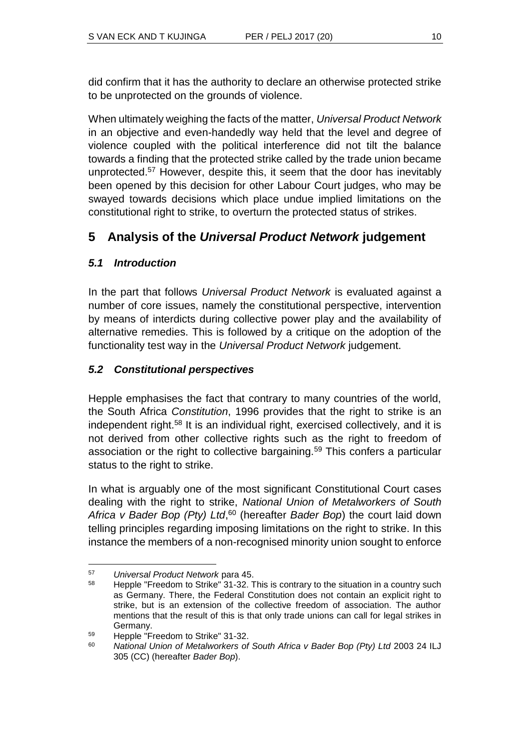did confirm that it has the authority to declare an otherwise protected strike to be unprotected on the grounds of violence.

When ultimately weighing the facts of the matter, *Universal Product Network*  in an objective and even-handedly way held that the level and degree of violence coupled with the political interference did not tilt the balance towards a finding that the protected strike called by the trade union became unprotected.<sup>57</sup> However, despite this, it seem that the door has inevitably been opened by this decision for other Labour Court judges, who may be swayed towards decisions which place undue implied limitations on the constitutional right to strike, to overturn the protected status of strikes.

# **5 Analysis of the** *Universal Product Network* **judgement**

### *5.1 Introduction*

In the part that follows *Universal Product Network* is evaluated against a number of core issues, namely the constitutional perspective, intervention by means of interdicts during collective power play and the availability of alternative remedies. This is followed by a critique on the adoption of the functionality test way in the *Universal Product Network* judgement.

### *5.2 Constitutional perspectives*

Hepple emphasises the fact that contrary to many countries of the world, the South Africa *Constitution*, 1996 provides that the right to strike is an independent right.<sup>58</sup> It is an individual right, exercised collectively, and it is not derived from other collective rights such as the right to freedom of association or the right to collective bargaining.<sup>59</sup> This confers a particular status to the right to strike.

In what is arguably one of the most significant Constitutional Court cases dealing with the right to strike, *National Union of Metalworkers of South Africa v Bader Bop (Pty) Ltd*, <sup>60</sup> (hereafter *Bader Bop*) the court laid down telling principles regarding imposing limitations on the right to strike. In this instance the members of a non-recognised minority union sought to enforce

<sup>57</sup> *Universal Product Network* para 45.

Hepple "Freedom to Strike" 31-32. This is contrary to the situation in a country such as Germany. There, the Federal Constitution does not contain an explicit right to strike, but is an extension of the collective freedom of association. The author mentions that the result of this is that only trade unions can call for legal strikes in Germany.

<sup>59</sup> Hepple "Freedom to Strike" 31-32.

<sup>60</sup> *National Union of Metalworkers of South Africa v Bader Bop (Pty) Ltd* 2003 24 ILJ 305 (CC) (hereafter *Bader Bop*).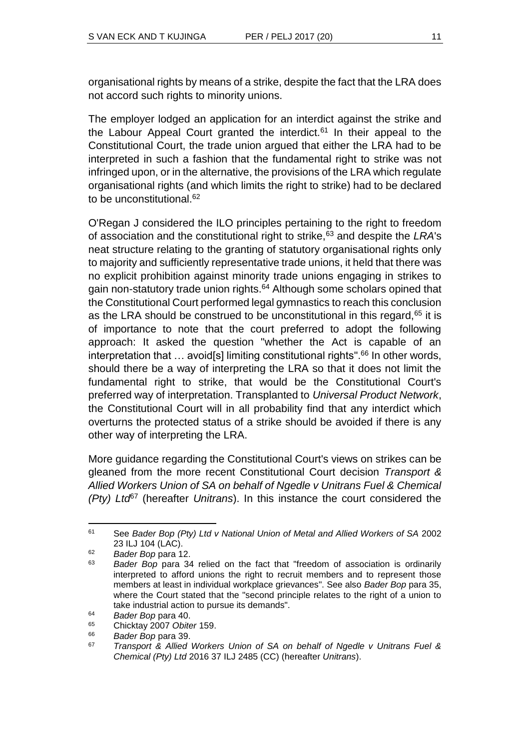organisational rights by means of a strike, despite the fact that the LRA does not accord such rights to minority unions.

The employer lodged an application for an interdict against the strike and the Labour Appeal Court granted the interdict.<sup>61</sup> In their appeal to the Constitutional Court, the trade union argued that either the LRA had to be interpreted in such a fashion that the fundamental right to strike was not infringed upon, or in the alternative, the provisions of the LRA which regulate organisational rights (and which limits the right to strike) had to be declared to be unconstitutional.<sup>62</sup>

O'Regan J considered the ILO principles pertaining to the right to freedom of association and the constitutional right to strike,<sup>63</sup> and despite the LRA's neat structure relating to the granting of statutory organisational rights only to majority and sufficiently representative trade unions, it held that there was no explicit prohibition against minority trade unions engaging in strikes to gain non-statutory trade union rights.<sup>64</sup> Although some scholars opined that the Constitutional Court performed legal gymnastics to reach this conclusion as the LRA should be construed to be unconstitutional in this regard,  $65$  it is of importance to note that the court preferred to adopt the following approach: It asked the question "whether the Act is capable of an interpretation that  $\ldots$  avoid[s] limiting constitutional rights".<sup>66</sup> In other words, should there be a way of interpreting the LRA so that it does not limit the fundamental right to strike, that would be the Constitutional Court's preferred way of interpretation. Transplanted to *Universal Product Network*, the Constitutional Court will in all probability find that any interdict which overturns the protected status of a strike should be avoided if there is any other way of interpreting the LRA.

More guidance regarding the Constitutional Court's views on strikes can be gleaned from the more recent Constitutional Court decision *Transport & Allied Workers Union of SA on behalf of Ngedle v Unitrans Fuel & Chemical (Pty) Ltd*<sup>67</sup> (hereafter *Unitrans*). In this instance the court considered the

l <sup>61</sup> See *Bader Bop (Pty) Ltd v National Union of Metal and Allied Workers of SA* 2002 23 ILJ 104 (LAC).

<sup>62</sup> *Bader Bop* para 12.

<sup>63</sup> *Bader Bop* para 34 relied on the fact that "freedom of association is ordinarily interpreted to afford unions the right to recruit members and to represent those members at least in individual workplace grievances". See also *Bader Bop* para 35, where the Court stated that the "second principle relates to the right of a union to take industrial action to pursue its demands".

<sup>64</sup> *Bader Bop* para 40.

<sup>65</sup> Chicktay 2007 *Obiter* 159.

<sup>66</sup> *Bader Bop* para 39.

<sup>67</sup> *Transport & Allied Workers Union of SA on behalf of Ngedle v Unitrans Fuel & Chemical (Pty) Ltd* 2016 37 ILJ 2485 (CC) (hereafter *Unitrans*).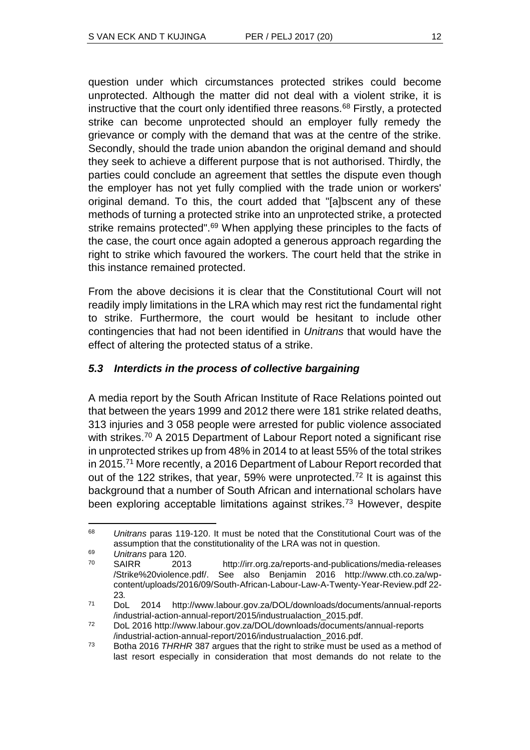question under which circumstances protected strikes could become unprotected. Although the matter did not deal with a violent strike, it is instructive that the court only identified three reasons.<sup>68</sup> Firstly, a protected strike can become unprotected should an employer fully remedy the grievance or comply with the demand that was at the centre of the strike. Secondly, should the trade union abandon the original demand and should they seek to achieve a different purpose that is not authorised. Thirdly, the parties could conclude an agreement that settles the dispute even though the employer has not yet fully complied with the trade union or workers' original demand. To this, the court added that "[a]bscent any of these methods of turning a protected strike into an unprotected strike, a protected strike remains protected".<sup>69</sup> When applying these principles to the facts of the case, the court once again adopted a generous approach regarding the right to strike which favoured the workers. The court held that the strike in this instance remained protected.

From the above decisions it is clear that the Constitutional Court will not readily imply limitations in the LRA which may rest rict the fundamental right to strike. Furthermore, the court would be hesitant to include other contingencies that had not been identified in *Unitrans* that would have the effect of altering the protected status of a strike.

### *5.3 Interdicts in the process of collective bargaining*

A media report by the South African Institute of Race Relations pointed out that between the years 1999 and 2012 there were 181 strike related deaths, 313 injuries and 3 058 people were arrested for public violence associated with strikes.<sup>70</sup> A 2015 Department of Labour Report noted a significant rise in unprotected strikes up from 48% in 2014 to at least 55% of the total strikes in 2015.<sup>71</sup> More recently, a 2016 Department of Labour Report recorded that out of the 122 strikes, that year, 59% were unprotected.<sup>72</sup> It is against this background that a number of South African and international scholars have been exploring acceptable limitations against strikes.<sup>73</sup> However, despite

l <sup>68</sup> *Unitrans* paras 119-120. It must be noted that the Constitutional Court was of the assumption that the constitutionality of the LRA was not in question.

<sup>69</sup> *Unitrans* para 120.

<sup>70</sup> SAIRR 2013 http://irr.org.za/reports-and-publications/media-releases /Strike%20violence.pdf/. See also Benjamin 2016 http://www.cth.co.za/wpcontent/uploads/2016/09/South-African-Labour-Law-A-Twenty-Year-Review.pdf 22- 23*.*

<sup>71</sup> DoL 2014 http://www.labour.gov.za/DOL/downloads/documents/annual-reports /industrial-action-annual-report/2015/industrualaction\_2015.pdf.

<sup>72</sup> DoL 2016 http://www.labour.gov.za/DOL/downloads/documents/annual-reports /industrial-action-annual-report/2016/industrualaction\_2016.pdf.

<sup>73</sup> Botha 2016 *THRHR* 387 argues that the right to strike must be used as a method of last resort especially in consideration that most demands do not relate to the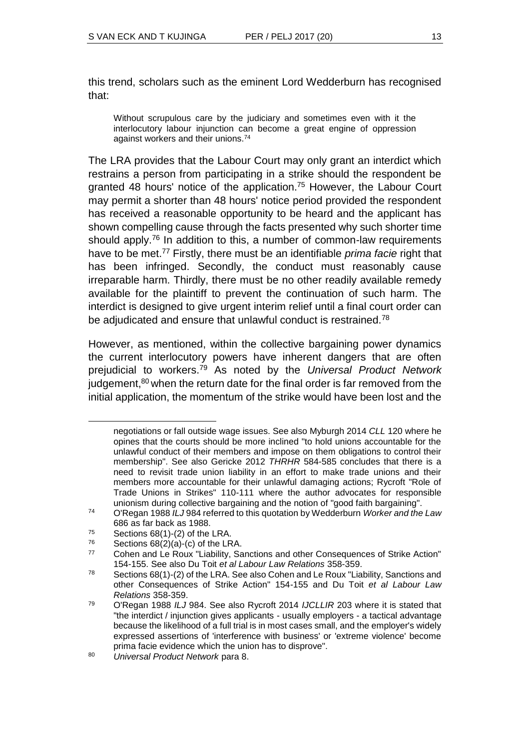this trend, scholars such as the eminent Lord Wedderburn has recognised that:

Without scrupulous care by the judiciary and sometimes even with it the interlocutory labour injunction can become a great engine of oppression against workers and their unions.<sup>74</sup>

The LRA provides that the Labour Court may only grant an interdict which restrains a person from participating in a strike should the respondent be granted 48 hours' notice of the application.<sup>75</sup> However, the Labour Court may permit a shorter than 48 hours' notice period provided the respondent has received a reasonable opportunity to be heard and the applicant has shown compelling cause through the facts presented why such shorter time should apply.<sup>76</sup> In addition to this, a number of common-law requirements have to be met.<sup>77</sup> Firstly, there must be an identifiable *prima facie* right that has been infringed. Secondly, the conduct must reasonably cause irreparable harm. Thirdly, there must be no other readily available remedy available for the plaintiff to prevent the continuation of such harm. The interdict is designed to give urgent interim relief until a final court order can be adjudicated and ensure that unlawful conduct is restrained.<sup>78</sup>

However, as mentioned, within the collective bargaining power dynamics the current interlocutory powers have inherent dangers that are often prejudicial to workers.<sup>79</sup> As noted by the *Universal Product Network*  judgement, $80$  when the return date for the final order is far removed from the initial application, the momentum of the strike would have been lost and the

negotiations or fall outside wage issues. See also Myburgh 2014 *CLL* 120 where he opines that the courts should be more inclined "to hold unions accountable for the unlawful conduct of their members and impose on them obligations to control their membership". See also Gericke 2012 *THRHR* 584-585 concludes that there is a need to revisit trade union liability in an effort to make trade unions and their members more accountable for their unlawful damaging actions; Rycroft "Role of Trade Unions in Strikes" 110-111 where the author advocates for responsible unionism during collective bargaining and the notion of "good faith bargaining".

<sup>74</sup> O'Regan 1988 *ILJ* 984 referred to this quotation by Wedderburn *Worker and the Law*  686 as far back as 1988.

 $^{75}$  Sections 68(1)-(2) of the LRA.<br> $^{76}$  Sections 68(2)(a)-(c) of the LR

 $^{76}$  Sections 68(2)(a)-(c) of the LRA.<br> $^{77}$  Coben and Le Poux "Liability So

<sup>77</sup> Cohen and Le Roux "Liability, Sanctions and other Consequences of Strike Action" 154-155. See also Du Toit *et al Labour Law Relations* 358-359.

<sup>78</sup> Sections 68(1)-(2) of the LRA. See also Cohen and Le Roux "Liability, Sanctions and other Consequences of Strike Action" 154-155 and Du Toit *et al Labour Law Relations* 358-359.

<sup>79</sup> O'Regan 1988 *ILJ* 984. See also Rycroft 2014 *IJCLLIR* 203 where it is stated that "the interdict / injunction gives applicants - usually employers - a tactical advantage because the likelihood of a full trial is in most cases small, and the employer's widely expressed assertions of 'interference with business' or 'extreme violence' become prima facie evidence which the union has to disprove".

<sup>80</sup> *Universal Product Network* para 8.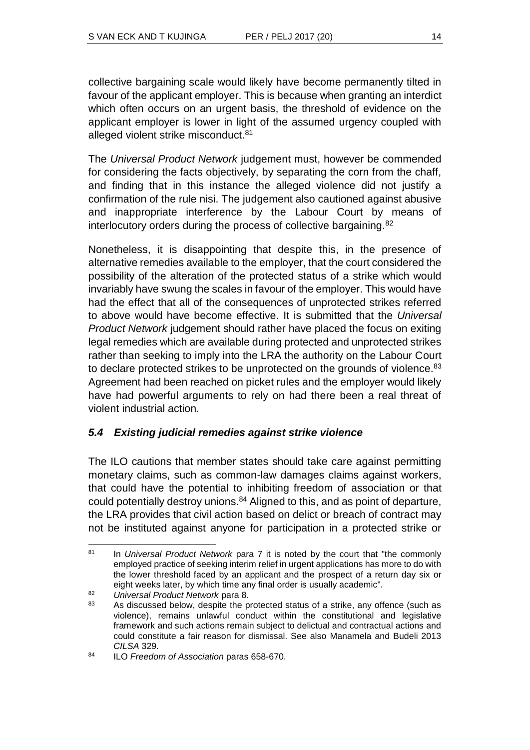collective bargaining scale would likely have become permanently tilted in favour of the applicant employer. This is because when granting an interdict which often occurs on an urgent basis, the threshold of evidence on the applicant employer is lower in light of the assumed urgency coupled with alleged violent strike misconduct.<sup>81</sup>

The *Universal Product Network* judgement must, however be commended for considering the facts objectively, by separating the corn from the chaff, and finding that in this instance the alleged violence did not justify a confirmation of the rule nisi. The judgement also cautioned against abusive and inappropriate interference by the Labour Court by means of interlocutory orders during the process of collective bargaining.<sup>82</sup>

Nonetheless, it is disappointing that despite this, in the presence of alternative remedies available to the employer, that the court considered the possibility of the alteration of the protected status of a strike which would invariably have swung the scales in favour of the employer. This would have had the effect that all of the consequences of unprotected strikes referred to above would have become effective. It is submitted that the *Universal Product Network* judgement should rather have placed the focus on exiting legal remedies which are available during protected and unprotected strikes rather than seeking to imply into the LRA the authority on the Labour Court to declare protected strikes to be unprotected on the grounds of violence.<sup>83</sup> Agreement had been reached on picket rules and the employer would likely have had powerful arguments to rely on had there been a real threat of violent industrial action.

### *5.4 Existing judicial remedies against strike violence*

The ILO cautions that member states should take care against permitting monetary claims, such as common-law damages claims against workers, that could have the potential to inhibiting freedom of association or that could potentially destroy unions. $84$  Aligned to this, and as point of departure, the LRA provides that civil action based on delict or breach of contract may not be instituted against anyone for participation in a protected strike or

l <sup>81</sup> In *Universal Product Network* para 7 it is noted by the court that "the commonly employed practice of seeking interim relief in urgent applications has more to do with the lower threshold faced by an applicant and the prospect of a return day six or eight weeks later, by which time any final order is usually academic".

<sup>82</sup> *Universal Product Network* para 8.

<sup>83</sup> As discussed below, despite the protected status of a strike, any offence (such as violence), remains unlawful conduct within the constitutional and legislative framework and such actions remain subject to delictual and contractual actions and could constitute a fair reason for dismissal. See also Manamela and Budeli 2013 *CILSA* 329.

<sup>84</sup> ILO *Freedom of Association* paras 658-670.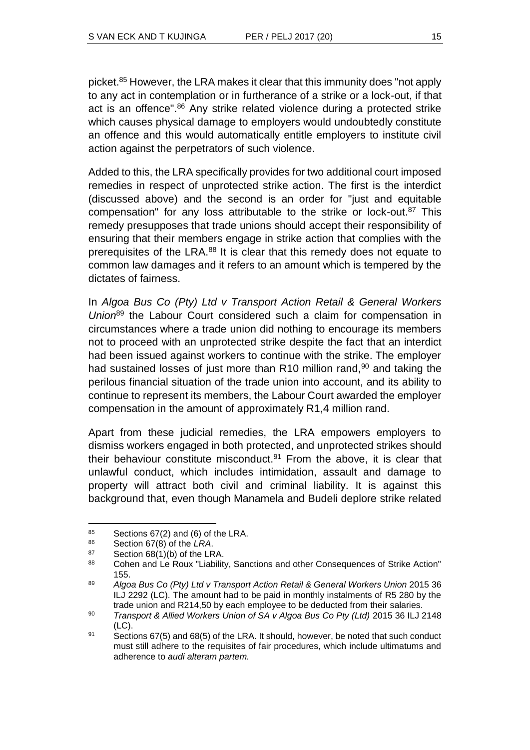picket.<sup>85</sup> However, the LRA makes it clear that this immunity does "not apply to any act in contemplation or in furtherance of a strike or a lock-out, if that act is an offence".<sup>86</sup> Any strike related violence during a protected strike which causes physical damage to employers would undoubtedly constitute an offence and this would automatically entitle employers to institute civil action against the perpetrators of such violence.

Added to this, the LRA specifically provides for two additional court imposed remedies in respect of unprotected strike action. The first is the interdict (discussed above) and the second is an order for "just and equitable compensation" for any loss attributable to the strike or lock-out. $87$  This remedy presupposes that trade unions should accept their responsibility of ensuring that their members engage in strike action that complies with the prerequisites of the LRA.<sup>88</sup> It is clear that this remedy does not equate to common law damages and it refers to an amount which is tempered by the dictates of fairness.

In *Algoa Bus Co (Pty) Ltd v Transport Action Retail & General Workers Union*<sup>89</sup> the Labour Court considered such a claim for compensation in circumstances where a trade union did nothing to encourage its members not to proceed with an unprotected strike despite the fact that an interdict had been issued against workers to continue with the strike. The employer had sustained losses of just more than R10 million rand,  $90$  and taking the perilous financial situation of the trade union into account, and its ability to continue to represent its members, the Labour Court awarded the employer compensation in the amount of approximately R1,4 million rand.

Apart from these judicial remedies, the LRA empowers employers to dismiss workers engaged in both protected, and unprotected strikes should their behaviour constitute misconduct.<sup>91</sup> From the above, it is clear that unlawful conduct, which includes intimidation, assault and damage to property will attract both civil and criminal liability. It is against this background that, even though Manamela and Budeli deplore strike related

l <sup>85</sup> Sections 67(2) and (6) of the LRA.<br><sup>86</sup> Section 67(8) of the LRA

 $^{86}$  Section 67(8) of the LRA.<br> $^{87}$  Section 68(1)(b) of the LP

Section 68(1)(b) of the LRA.

<sup>88</sup> Cohen and Le Roux "Liability, Sanctions and other Consequences of Strike Action" 155.

<sup>89</sup> *Algoa Bus Co (Pty) Ltd v Transport Action Retail & General Workers Union* 2015 36 ILJ 2292 (LC). The amount had to be paid in monthly instalments of R5 280 by the trade union and R214,50 by each employee to be deducted from their salaries.

<sup>90</sup> *Transport & Allied Workers Union of SA v Algoa Bus Co Pty (Ltd)* 2015 36 ILJ 2148 (LC).

<sup>91</sup> Sections 67(5) and 68(5) of the LRA. It should, however, be noted that such conduct must still adhere to the requisites of fair procedures, which include ultimatums and adherence to *audi alteram partem.*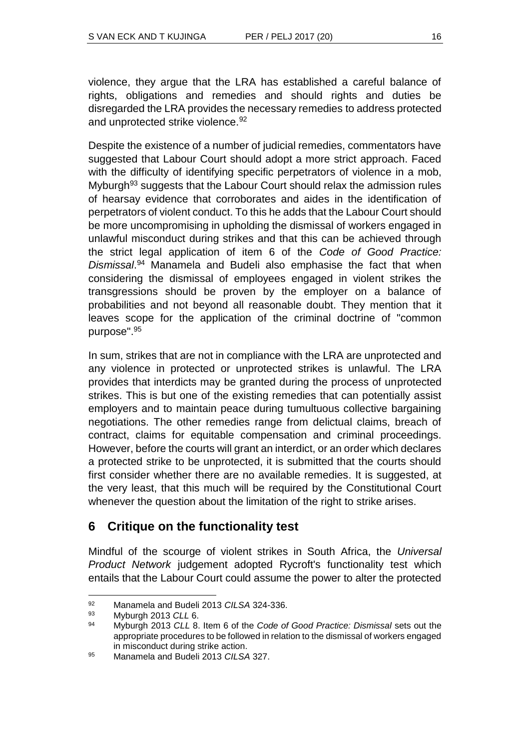violence, they argue that the LRA has established a careful balance of rights, obligations and remedies and should rights and duties be disregarded the LRA provides the necessary remedies to address protected and unprotected strike violence.<sup>92</sup>

Despite the existence of a number of judicial remedies, commentators have suggested that Labour Court should adopt a more strict approach. Faced with the difficulty of identifying specific perpetrators of violence in a mob, Myburgh<sup>93</sup> suggests that the Labour Court should relax the admission rules of hearsay evidence that corroborates and aides in the identification of perpetrators of violent conduct. To this he adds that the Labour Court should be more uncompromising in upholding the dismissal of workers engaged in unlawful misconduct during strikes and that this can be achieved through the strict legal application of item 6 of the *Code of Good Practice: Dismissal*. <sup>94</sup> Manamela and Budeli also emphasise the fact that when considering the dismissal of employees engaged in violent strikes the transgressions should be proven by the employer on a balance of probabilities and not beyond all reasonable doubt. They mention that it leaves scope for the application of the criminal doctrine of "common purpose".<sup>95</sup>

In sum, strikes that are not in compliance with the LRA are unprotected and any violence in protected or unprotected strikes is unlawful. The LRA provides that interdicts may be granted during the process of unprotected strikes. This is but one of the existing remedies that can potentially assist employers and to maintain peace during tumultuous collective bargaining negotiations. The other remedies range from delictual claims, breach of contract, claims for equitable compensation and criminal proceedings. However, before the courts will grant an interdict, or an order which declares a protected strike to be unprotected, it is submitted that the courts should first consider whether there are no available remedies. It is suggested, at the very least, that this much will be required by the Constitutional Court whenever the question about the limitation of the right to strike arises.

# **6 Critique on the functionality test**

Mindful of the scourge of violent strikes in South Africa, the *Universal Product Network* judgement adopted Rycroft's functionality test which entails that the Labour Court could assume the power to alter the protected

<sup>92</sup> Manamela and Budeli 2013 *CILSA* 324-336.

<sup>93</sup> Myburgh 2013 *CLL* 6.

<sup>94</sup> Myburgh 2013 *CLL* 8. Item 6 of the *Code of Good Practice: Dismissal* sets out the appropriate procedures to be followed in relation to the dismissal of workers engaged in misconduct during strike action.

<sup>95</sup> Manamela and Budeli 2013 *CILSA* 327.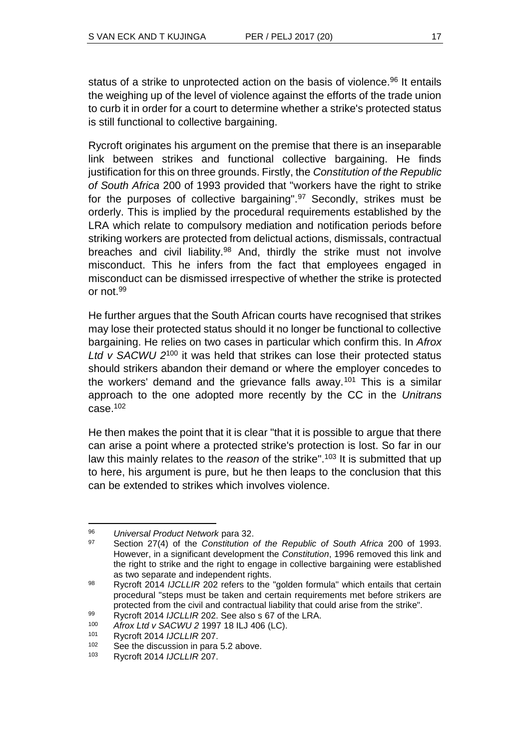status of a strike to unprotected action on the basis of violence.<sup>96</sup> It entails the weighing up of the level of violence against the efforts of the trade union to curb it in order for a court to determine whether a strike's protected status is still functional to collective bargaining.

Rycroft originates his argument on the premise that there is an inseparable link between strikes and functional collective bargaining. He finds justification for this on three grounds. Firstly, the *Constitution of the Republic of South Africa* 200 of 1993 provided that "workers have the right to strike for the purposes of collective bargaining". $97$  Secondly, strikes must be orderly. This is implied by the procedural requirements established by the LRA which relate to compulsory mediation and notification periods before striking workers are protected from delictual actions, dismissals, contractual breaches and civil liability.<sup>98</sup> And, thirdly the strike must not involve misconduct. This he infers from the fact that employees engaged in misconduct can be dismissed irrespective of whether the strike is protected or not.<sup>99</sup>

He further argues that the South African courts have recognised that strikes may lose their protected status should it no longer be functional to collective bargaining. He relies on two cases in particular which confirm this. In *Afrox Ltd v SACWU 2*<sup>100</sup> it was held that strikes can lose their protected status should strikers abandon their demand or where the employer concedes to the workers' demand and the grievance falls away.<sup>101</sup> This is a similar approach to the one adopted more recently by the CC in the *Unitrans*   $c$ ase.  $102$ 

He then makes the point that it is clear "that it is possible to argue that there can arise a point where a protected strike's protection is lost. So far in our law this mainly relates to the *reason* of the strike".<sup>103</sup> It is submitted that up to here, his argument is pure, but he then leaps to the conclusion that this can be extended to strikes which involves violence.

l <sup>96</sup> *Universal Product Network* para 32.

Section 27(4) of the *Constitution of the Republic of South Africa* 200 of 1993. However, in a significant development the *Constitution*, 1996 removed this link and the right to strike and the right to engage in collective bargaining were established as two separate and independent rights.

<sup>98</sup> Rycroft 2014 *IJCLLIR* 202 refers to the "golden formula" which entails that certain procedural "steps must be taken and certain requirements met before strikers are protected from the civil and contractual liability that could arise from the strike".

<sup>99</sup> Rycroft 2014 *IJCLLIR* 202. See also s 67 of the LRA.

<sup>100</sup> *Afrox Ltd v SACWU 2* 1997 18 ILJ 406 (LC).

<sup>101</sup> Rycroft 2014 *IJCLLIR* 207.

See the discussion in para 5.2 above.

<sup>103</sup> Rycroft 2014 *IJCLLIR* 207.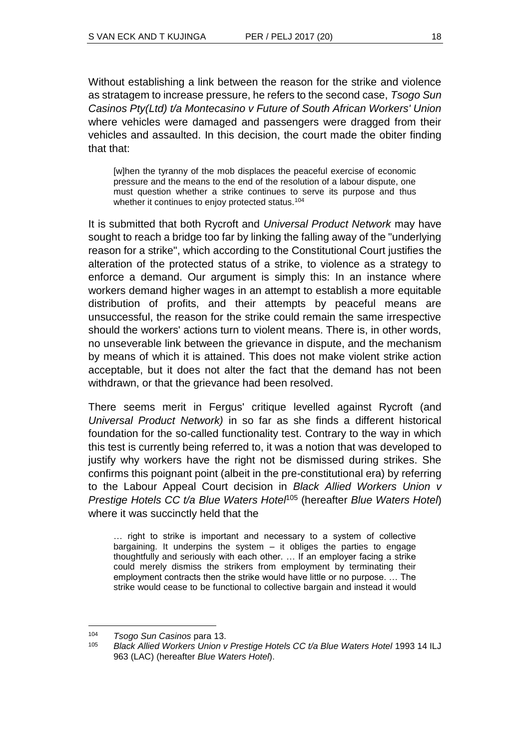Without establishing a link between the reason for the strike and violence as stratagem to increase pressure, he refers to the second case, *Tsogo Sun Casinos Pty(Ltd) t/a Montecasino v Future of South African Workers' Union* where vehicles were damaged and passengers were dragged from their vehicles and assaulted. In this decision, the court made the obiter finding that that:

[w]hen the tyranny of the mob displaces the peaceful exercise of economic pressure and the means to the end of the resolution of a labour dispute, one must question whether a strike continues to serve its purpose and thus whether it continues to enjoy protected status.<sup>104</sup>

It is submitted that both Rycroft and *Universal Product Network* may have sought to reach a bridge too far by linking the falling away of the "underlying reason for a strike", which according to the Constitutional Court justifies the alteration of the protected status of a strike, to violence as a strategy to enforce a demand. Our argument is simply this: In an instance where workers demand higher wages in an attempt to establish a more equitable distribution of profits, and their attempts by peaceful means are unsuccessful, the reason for the strike could remain the same irrespective should the workers' actions turn to violent means. There is, in other words, no unseverable link between the grievance in dispute, and the mechanism by means of which it is attained. This does not make violent strike action acceptable, but it does not alter the fact that the demand has not been withdrawn, or that the grievance had been resolved.

There seems merit in Fergus' critique levelled against Rycroft (and *Universal Product Network)* in so far as she finds a different historical foundation for the so-called functionality test. Contrary to the way in which this test is currently being referred to, it was a notion that was developed to justify why workers have the right not be dismissed during strikes. She confirms this poignant point (albeit in the pre-constitutional era) by referring to the Labour Appeal Court decision in *Black Allied Workers Union v Prestige Hotels CC t/a Blue Waters Hotel*<sup>105</sup> (hereafter *Blue Waters Hotel*) where it was succinctly held that the

… right to strike is important and necessary to a system of collective bargaining. It underpins the system – it obliges the parties to engage thoughtfully and seriously with each other. … If an employer facing a strike could merely dismiss the strikers from employment by terminating their employment contracts then the strike would have little or no purpose. … The strike would cease to be functional to collective bargain and instead it would

 $\overline{a}$ 

<sup>104</sup> *Tsogo Sun Casinos* para 13.

<sup>105</sup> *Black Allied Workers Union v Prestige Hotels CC t/a Blue Waters Hotel* 1993 14 ILJ 963 (LAC) (hereafter *Blue Waters Hotel*).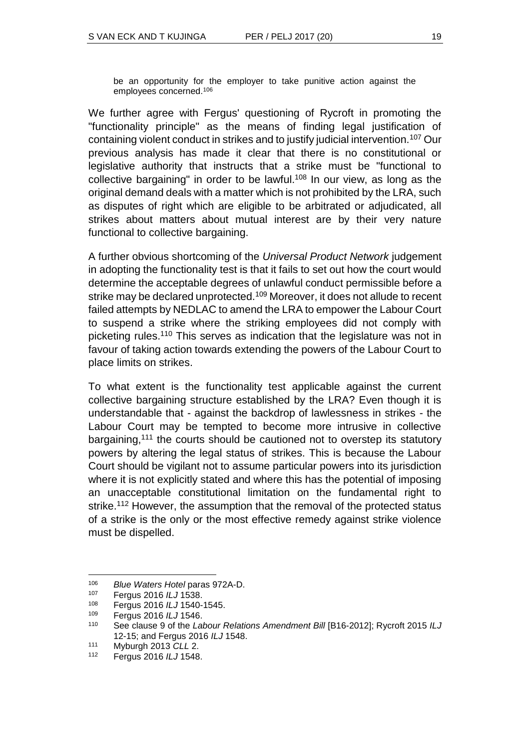be an opportunity for the employer to take punitive action against the employees concerned.<sup>106</sup>

We further agree with Fergus' questioning of Rycroft in promoting the "functionality principle" as the means of finding legal justification of containing violent conduct in strikes and to justify judicial intervention.<sup>107</sup> Our previous analysis has made it clear that there is no constitutional or legislative authority that instructs that a strike must be "functional to collective bargaining" in order to be lawful.<sup>108</sup> In our view, as long as the original demand deals with a matter which is not prohibited by the LRA, such as disputes of right which are eligible to be arbitrated or adjudicated, all strikes about matters about mutual interest are by their very nature functional to collective bargaining.

A further obvious shortcoming of the *Universal Product Network* judgement in adopting the functionality test is that it fails to set out how the court would determine the acceptable degrees of unlawful conduct permissible before a strike may be declared unprotected.<sup>109</sup> Moreover, it does not allude to recent failed attempts by NEDLAC to amend the LRA to empower the Labour Court to suspend a strike where the striking employees did not comply with picketing rules.<sup>110</sup> This serves as indication that the legislature was not in favour of taking action towards extending the powers of the Labour Court to place limits on strikes.

To what extent is the functionality test applicable against the current collective bargaining structure established by the LRA? Even though it is understandable that - against the backdrop of lawlessness in strikes - the Labour Court may be tempted to become more intrusive in collective bargaining,<sup>111</sup> the courts should be cautioned not to overstep its statutory powers by altering the legal status of strikes. This is because the Labour Court should be vigilant not to assume particular powers into its jurisdiction where it is not explicitly stated and where this has the potential of imposing an unacceptable constitutional limitation on the fundamental right to strike.<sup>112</sup> However, the assumption that the removal of the protected status of a strike is the only or the most effective remedy against strike violence must be dispelled.

<sup>106</sup> *Blue Waters Hotel* paras 972A-D.

<sup>107</sup> Fergus 2016 *ILJ* 1538.

<sup>108</sup> Fergus 2016 *ILJ* 1540-1545.

<sup>109</sup> Fergus 2016 *ILJ* 1546.

<sup>110</sup> See clause 9 of the *Labour Relations Amendment Bill* [B16-2012]; Rycroft 2015 *ILJ*  12-15; and Fergus 2016 *ILJ* 1548.

<sup>111</sup> Myburgh 2013 *CLL* 2.

<sup>112</sup> Fergus 2016 *ILJ* 1548.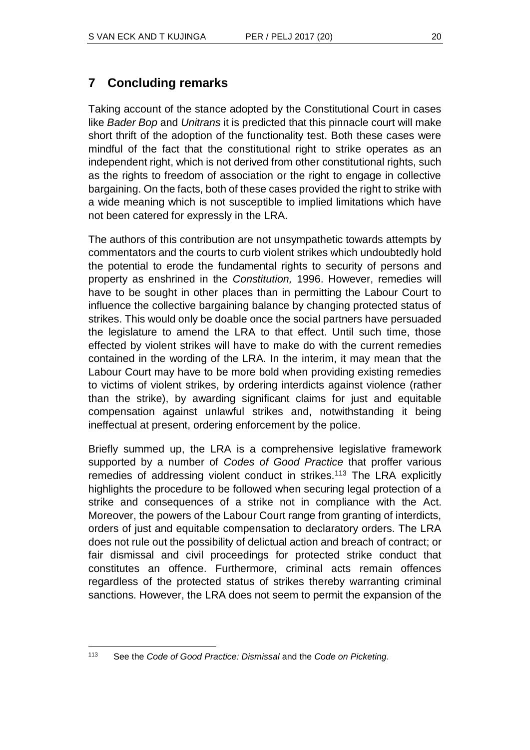# **7 Concluding remarks**

Taking account of the stance adopted by the Constitutional Court in cases like *Bader Bop* and *Unitrans* it is predicted that this pinnacle court will make short thrift of the adoption of the functionality test. Both these cases were mindful of the fact that the constitutional right to strike operates as an independent right, which is not derived from other constitutional rights, such as the rights to freedom of association or the right to engage in collective bargaining. On the facts, both of these cases provided the right to strike with a wide meaning which is not susceptible to implied limitations which have not been catered for expressly in the LRA.

The authors of this contribution are not unsympathetic towards attempts by commentators and the courts to curb violent strikes which undoubtedly hold the potential to erode the fundamental rights to security of persons and property as enshrined in the *Constitution,* 1996. However, remedies will have to be sought in other places than in permitting the Labour Court to influence the collective bargaining balance by changing protected status of strikes. This would only be doable once the social partners have persuaded the legislature to amend the LRA to that effect. Until such time, those effected by violent strikes will have to make do with the current remedies contained in the wording of the LRA. In the interim, it may mean that the Labour Court may have to be more bold when providing existing remedies to victims of violent strikes, by ordering interdicts against violence (rather than the strike), by awarding significant claims for just and equitable compensation against unlawful strikes and, notwithstanding it being ineffectual at present, ordering enforcement by the police.

Briefly summed up, the LRA is a comprehensive legislative framework supported by a number of *Codes of Good Practice* that proffer various remedies of addressing violent conduct in strikes.<sup>113</sup> The LRA explicitly highlights the procedure to be followed when securing legal protection of a strike and consequences of a strike not in compliance with the Act. Moreover, the powers of the Labour Court range from granting of interdicts, orders of just and equitable compensation to declaratory orders. The LRA does not rule out the possibility of delictual action and breach of contract; or fair dismissal and civil proceedings for protected strike conduct that constitutes an offence. Furthermore, criminal acts remain offences regardless of the protected status of strikes thereby warranting criminal sanctions. However, the LRA does not seem to permit the expansion of the

l <sup>113</sup> See the *Code of Good Practice: Dismissal* and the *Code on Picketing*.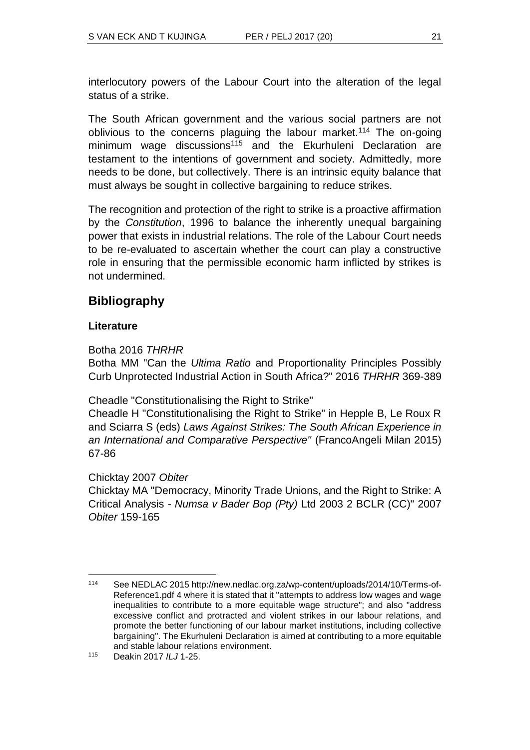interlocutory powers of the Labour Court into the alteration of the legal status of a strike.

The South African government and the various social partners are not oblivious to the concerns plaguing the labour market.<sup>114</sup> The on-going minimum wage discussions<sup>115</sup> and the Ekurhuleni Declaration are testament to the intentions of government and society. Admittedly, more needs to be done, but collectively. There is an intrinsic equity balance that must always be sought in collective bargaining to reduce strikes.

The recognition and protection of the right to strike is a proactive affirmation by the *Constitution*, 1996 to balance the inherently unequal bargaining power that exists in industrial relations. The role of the Labour Court needs to be re-evaluated to ascertain whether the court can play a constructive role in ensuring that the permissible economic harm inflicted by strikes is not undermined.

# **Bibliography**

### **Literature**

Botha 2016 *THRHR*

Botha MM "Can the *Ultima Ratio* and Proportionality Principles Possibly Curb Unprotected Industrial Action in South Africa?" 2016 *THRHR* 369-389

Cheadle "Constitutionalising the Right to Strike"

Cheadle H "Constitutionalising the Right to Strike" in Hepple B, Le Roux R and Sciarra S (eds) *Laws Against Strikes: The South African Experience in an International and Comparative Perspective"* (FrancoAngeli Milan 2015) 67-86

Chicktay 2007 *Obiter*

l

Chicktay MA "Democracy, Minority Trade Unions, and the Right to Strike: A Critical Analysis - *Numsa v Bader Bop (Pty)* Ltd 2003 2 BCLR (CC)" 2007 *Obiter* 159-165

<sup>114</sup> See NEDLAC 2015 http://new.nedlac.org.za/wp-content/uploads/2014/10/Terms-of-Reference1.pdf 4 where it is stated that it "attempts to address low wages and wage inequalities to contribute to a more equitable wage structure"; and also "address excessive conflict and protracted and violent strikes in our labour relations, and promote the better functioning of our labour market institutions, including collective bargaining". The Ekurhuleni Declaration is aimed at contributing to a more equitable and stable labour relations environment.

<sup>115</sup> Deakin 2017 *ILJ* 1-25.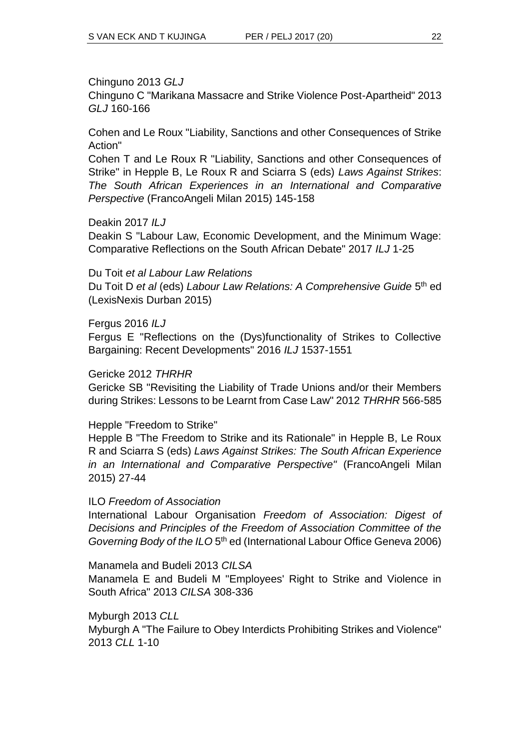### Chinguno 2013 *GLJ*

Chinguno C "Marikana Massacre and Strike Violence Post-Apartheid" 2013 *GLJ* 160-166

Cohen and Le Roux "Liability, Sanctions and other Consequences of Strike Action"

Cohen T and Le Roux R "Liability, Sanctions and other Consequences of Strike" in Hepple B, Le Roux R and Sciarra S (eds) *Laws Against Strikes*: *The South African Experiences in an International and Comparative Perspective* (FrancoAngeli Milan 2015) 145-158

### Deakin 2017 *ILJ*

Deakin S "Labour Law, Economic Development, and the Minimum Wage: Comparative Reflections on the South African Debate" 2017 *ILJ* 1-25

#### Du Toit *et al Labour Law Relations*

Du Toit D et al (eds) Labour Law Relations: A Comprehensive Guide 5<sup>th</sup> ed (LexisNexis Durban 2015)

Fergus 2016 *ILJ*

Fergus E "Reflections on the (Dys)functionality of Strikes to Collective Bargaining: Recent Developments" 2016 *ILJ* 1537-1551

#### Gericke 2012 *THRHR*

Gericke SB "Revisiting the Liability of Trade Unions and/or their Members during Strikes: Lessons to be Learnt from Case Law" 2012 *THRHR* 566-585

### Hepple "Freedom to Strike"

Hepple B "The Freedom to Strike and its Rationale" in Hepple B, Le Roux R and Sciarra S (eds) *Laws Against Strikes: The South African Experience in an International and Comparative Perspective"* (FrancoAngeli Milan 2015) 27-44

#### ILO *Freedom of Association*

International Labour Organisation *Freedom of Association: Digest of Decisions and Principles of the Freedom of Association Committee of the*  Governing Body of the ILO 5<sup>th</sup> ed (International Labour Office Geneva 2006)

#### Manamela and Budeli 2013 *CILSA*

Manamela E and Budeli M "Employees' Right to Strike and Violence in South Africa" 2013 *CILSA* 308-336

### Myburgh 2013 *CLL*

Myburgh A "The Failure to Obey Interdicts Prohibiting Strikes and Violence" 2013 *CLL* 1-10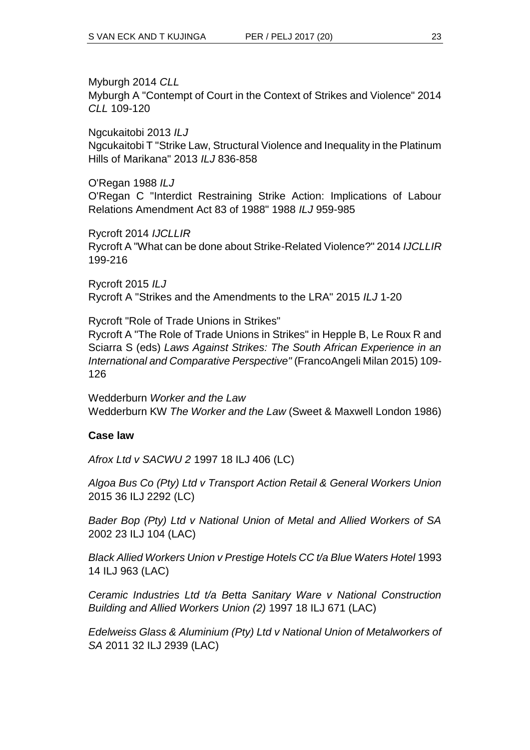Myburgh 2014 *CLL* Myburgh A "Contempt of Court in the Context of Strikes and Violence" 2014 *CLL* 109-120

Ngcukaitobi 2013 *ILJ* Ngcukaitobi T "Strike Law, Structural Violence and Inequality in the Platinum Hills of Marikana" 2013 *ILJ* 836-858

O'Regan 1988 *ILJ* O'Regan C "Interdict Restraining Strike Action: Implications of Labour Relations Amendment Act 83 of 1988" 1988 *ILJ* 959-985

Rycroft 2014 *IJCLLIR* Rycroft A "What can be done about Strike-Related Violence?" 2014 *IJCLLIR* 199-216

Rycroft 2015 *ILJ* Rycroft A "Strikes and the Amendments to the LRA" 2015 *ILJ* 1-20

Rycroft "Role of Trade Unions in Strikes" Rycroft A "The Role of Trade Unions in Strikes" in Hepple B, Le Roux R and Sciarra S (eds) *Laws Against Strikes: The South African Experience in an International and Comparative Perspective"* (FrancoAngeli Milan 2015) 109-

Wedderburn *Worker and the Law* Wedderburn KW *The Worker and the Law* (Sweet & Maxwell London 1986)

### **Case law**

126

*Afrox Ltd v SACWU 2* 1997 18 ILJ 406 (LC)

*Algoa Bus Co (Pty) Ltd v Transport Action Retail & General Workers Union* 2015 36 ILJ 2292 (LC)

*Bader Bop (Pty) Ltd v National Union of Metal and Allied Workers of SA*  2002 23 ILJ 104 (LAC)

*Black Allied Workers Union v Prestige Hotels CC t/a Blue Waters Hotel* 1993 14 ILJ 963 (LAC)

*Ceramic Industries Ltd t/a Betta Sanitary Ware v National Construction Building and Allied Workers Union (2)* 1997 18 ILJ 671 (LAC)

*Edelweiss Glass & Aluminium (Pty) Ltd v National Union of Metalworkers of SA* 2011 32 ILJ 2939 (LAC)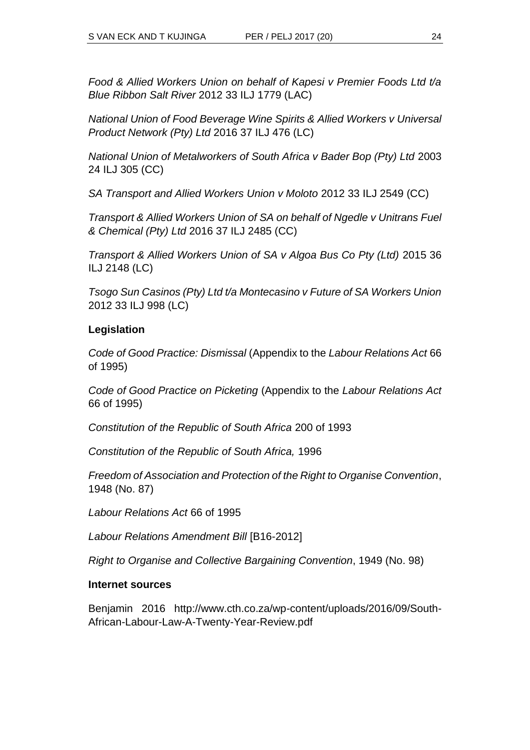*Food & Allied Workers Union on behalf of Kapesi v Premier Foods Ltd t/a Blue Ribbon Salt River* 2012 33 ILJ 1779 (LAC)

*National Union of Food Beverage Wine Spirits & Allied Workers v Universal Product Network (Pty) Ltd* 2016 37 ILJ 476 (LC)

*National Union of Metalworkers of South Africa v Bader Bop (Pty) Ltd* 2003 24 ILJ 305 (CC)

*SA Transport and Allied Workers Union v Moloto* 2012 33 ILJ 2549 (CC)

*Transport & Allied Workers Union of SA on behalf of Ngedle v Unitrans Fuel & Chemical (Pty) Ltd* 2016 37 ILJ 2485 (CC)

*Transport & Allied Workers Union of SA v Algoa Bus Co Pty (Ltd)* 2015 36 ILJ 2148 (LC)

*Tsogo Sun Casinos (Pty) Ltd t/a Montecasino v Future of SA Workers Union*  2012 33 ILJ 998 (LC)

### **Legislation**

*Code of Good Practice: Dismissal* (Appendix to the *Labour Relations Act* 66 of 1995)

*Code of Good Practice on Picketing* (Appendix to the *Labour Relations Act*  66 of 1995)

*Constitution of the Republic of South Africa* 200 of 1993

*Constitution of the Republic of South Africa,* 1996

*Freedom of Association and Protection of the Right to Organise Convention*, 1948 (No. 87)

*Labour Relations Act* 66 of 1995

*Labour Relations Amendment Bill* [B16-2012]

*Right to Organise and Collective Bargaining Convention*, 1949 (No. 98)

#### **Internet sources**

Benjamin 2016 http://www.cth.co.za/wp-content/uploads/2016/09/South-African-Labour-Law-A-Twenty-Year-Review.pdf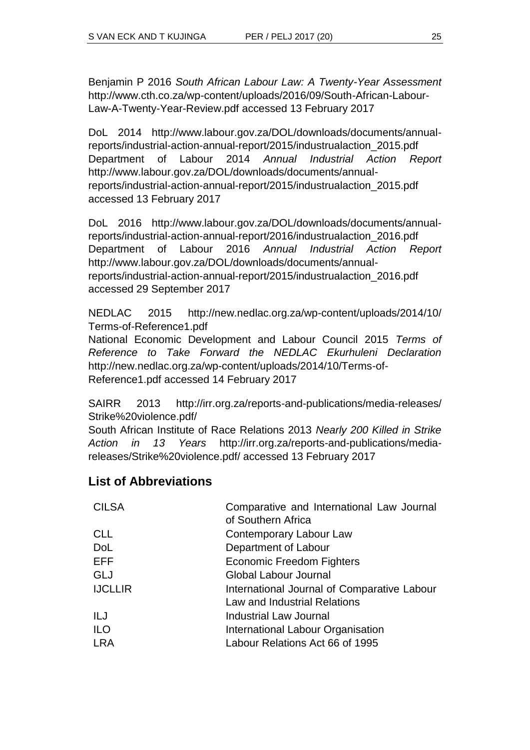Benjamin P 2016 *South African Labour Law: A Twenty-Year Assessment*  http://www.cth.co.za/wp-content/uploads/2016/09/South-African-Labour-Law-A-Twenty-Year-Review.pdf accessed 13 February 2017

DoL 2014 http://www.labour.gov.za/DOL/downloads/documents/annualreports/industrial-action-annual-report/2015/industrualaction\_2015.pdf Department of Labour 2014 *Annual Industrial Action Report* http://www.labour.gov.za/DOL/downloads/documents/annualreports/industrial-action-annual-report/2015/industrualaction\_2015.pdf accessed 13 February 2017

DoL 2016 http://www.labour.gov.za/DOL/downloads/documents/annualreports/industrial-action-annual-report/2016/industrualaction\_2016.pdf Department of Labour 2016 *Annual Industrial Action Report* http://www.labour.gov.za/DOL/downloads/documents/annualreports/industrial-action-annual-report/2015/industrualaction\_2016.pdf accessed 29 September 2017

NEDLAC 2015 http://new.nedlac.org.za/wp-content/uploads/2014/10/ Terms-of-Reference1.pdf

National Economic Development and Labour Council 2015 *Terms of Reference to Take Forward the NEDLAC Ekurhuleni Declaration* http://new.nedlac.org.za/wp-content/uploads/2014/10/Terms-of-Reference1.pdf accessed 14 February 2017

SAIRR 2013 http://irr.org.za/reports-and-publications/media-releases/ Strike%20violence.pdf/

South African Institute of Race Relations 2013 *Nearly 200 Killed in Strike Action in 13 Years* http://irr.org.za/reports-and-publications/mediareleases/Strike%20violence.pdf/ accessed 13 February 2017

# **List of Abbreviations**

| <b>CILSA</b>   | Comparative and International Law Journal<br>of Southern Africa             |  |  |  |
|----------------|-----------------------------------------------------------------------------|--|--|--|
| <b>CLL</b>     | Contemporary Labour Law                                                     |  |  |  |
| <b>DoL</b>     | Department of Labour                                                        |  |  |  |
| EFF.           | <b>Economic Freedom Fighters</b>                                            |  |  |  |
| GLJ            | Global Labour Journal                                                       |  |  |  |
| <b>IJCLLIR</b> | International Journal of Comparative Labour<br>Law and Industrial Relations |  |  |  |
| ILJ            | Industrial Law Journal                                                      |  |  |  |
| <b>ILO</b>     | International Labour Organisation                                           |  |  |  |
| <b>LRA</b>     | Labour Relations Act 66 of 1995                                             |  |  |  |